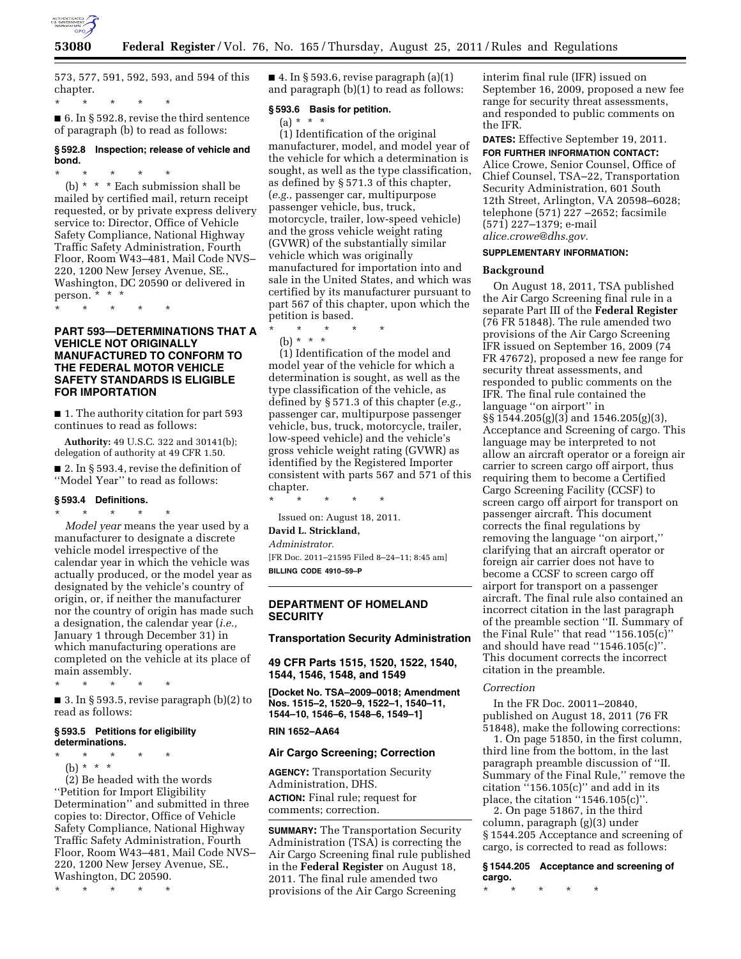

573, 577, 591, 592, 593, and 594 of this chapter.

\* \* \* \* \*

■ 6. In § 592.8, revise the third sentence of paragraph (b) to read as follows:

## **§ 592.8 Inspection; release of vehicle and bond.**

\* \* \* \* \* (b) \* \* \* Each submission shall be mailed by certified mail, return receipt requested, or by private express delivery service to: Director, Office of Vehicle Safety Compliance, National Highway Traffic Safety Administration, Fourth Floor, Room W43–481, Mail Code NVS– 220, 1200 New Jersey Avenue, SE., Washington, DC 20590 or delivered in

person. \* \* \* \* \* \* \* \*

## **PART 593—DETERMINATIONS THAT A VEHICLE NOT ORIGINALLY MANUFACTURED TO CONFORM TO THE FEDERAL MOTOR VEHICLE SAFETY STANDARDS IS ELIGIBLE FOR IMPORTATION**

■ 1. The authority citation for part 593 continues to read as follows:

**Authority:** 49 U.S.C. 322 and 30141(b); delegation of authority at 49 CFR 1.50.

■ 2. In § 593.4, revise the definition of ''Model Year'' to read as follows:

## **§ 593.4 Definitions.**

\* \* \* \* \* *Model year* means the year used by a manufacturer to designate a discrete vehicle model irrespective of the calendar year in which the vehicle was actually produced, or the model year as designated by the vehicle's country of origin, or, if neither the manufacturer nor the country of origin has made such a designation, the calendar year (*i.e.,*  January 1 through December 31) in which manufacturing operations are completed on the vehicle at its place of main assembly.

\* \* \* \* \*

■ 3. In § 593.5, revise paragraph  $(b)(2)$  to read as follows:

#### **§ 593.5 Petitions for eligibility determinations.**

\* \* \* \* \*

(b) \* \* \*

(2) Be headed with the words ''Petition for Import Eligibility Determination'' and submitted in three copies to: Director, Office of Vehicle Safety Compliance, National Highway Traffic Safety Administration, Fourth Floor, Room W43–481, Mail Code NVS– 220, 1200 New Jersey Avenue, SE., Washington, DC 20590.

\* \* \* \* \*

 $\blacksquare$  4. In § 593.6, revise paragraph (a)(1) and paragraph (b)(1) to read as follows:

#### **§ 593.6 Basis for petition.**

 $(a) * * * *$ 

(1) Identification of the original manufacturer, model, and model year of the vehicle for which a determination is sought, as well as the type classification, as defined by § 571.3 of this chapter, (*e.g.,* passenger car, multipurpose passenger vehicle, bus, truck, motorcycle, trailer, low-speed vehicle) and the gross vehicle weight rating (GVWR) of the substantially similar vehicle which was originally manufactured for importation into and sale in the United States, and which was certified by its manufacturer pursuant to part 567 of this chapter, upon which the petition is based.

\* \* \* \* \* (b) \* \* \*

(1) Identification of the model and model year of the vehicle for which a determination is sought, as well as the type classification of the vehicle, as defined by § 571.3 of this chapter (*e.g.,*  passenger car, multipurpose passenger vehicle, bus, truck, motorcycle, trailer, low-speed vehicle) and the vehicle's gross vehicle weight rating (GVWR) as identified by the Registered Importer consistent with parts 567 and 571 of this chapter.

\* \* \* \* \*

Issued on: August 18, 2011.

**David L. Strickland,**  *Administrator.* 

[FR Doc. 2011–21595 Filed 8–24–11; 8:45 am]

**BILLING CODE 4910–59–P** 

## **DEPARTMENT OF HOMELAND SECURITY**

#### **Transportation Security Administration**

**49 CFR Parts 1515, 1520, 1522, 1540, 1544, 1546, 1548, and 1549** 

**[Docket No. TSA–2009–0018; Amendment Nos. 1515–2, 1520–9, 1522–1, 1540–11, 1544–10, 1546–6, 1548–6, 1549–1]** 

#### **RIN 1652–AA64**

#### **Air Cargo Screening; Correction**

**AGENCY:** Transportation Security Administration, DHS. **ACTION:** Final rule; request for comments; correction.

**SUMMARY:** The Transportation Security Administration (TSA) is correcting the Air Cargo Screening final rule published in the **Federal Register** on August 18, 2011. The final rule amended two provisions of the Air Cargo Screening

interim final rule (IFR) issued on September 16, 2009, proposed a new fee range for security threat assessments, and responded to public comments on the IFR.

**DATES:** Effective September 19, 2011.

**FOR FURTHER INFORMATION CONTACT:**  Alice Crowe, Senior Counsel, Office of Chief Counsel, TSA–22, Transportation Security Administration, 601 South 12th Street, Arlington, VA 20598–6028; telephone (571) 227 –2652; facsimile (571) 227–1379; e-mail *[alice.crowe@dhs.gov.](mailto:alice.crowe@dhs.gov)* 

## **SUPPLEMENTARY INFORMATION:**

#### **Background**

On August 18, 2011, TSA published the Air Cargo Screening final rule in a separate Part III of the **Federal Register**  (76 FR 51848). The rule amended two provisions of the Air Cargo Screening IFR issued on September 16, 2009 (74 FR 47672), proposed a new fee range for security threat assessments, and responded to public comments on the IFR. The final rule contained the language ''on airport'' in  $\S$ § 1544.205(g)(3) and 1546.205(g)(3), Acceptance and Screening of cargo. This language may be interpreted to not allow an aircraft operator or a foreign air carrier to screen cargo off airport, thus requiring them to become a Certified Cargo Screening Facility (CCSF) to screen cargo off airport for transport on passenger aircraft. This document corrects the final regulations by removing the language ''on airport,'' clarifying that an aircraft operator or foreign air carrier does not have to become a CCSF to screen cargo off airport for transport on a passenger aircraft. The final rule also contained an incorrect citation in the last paragraph of the preamble section ''II. Summary of the Final Rule'' that read ''156.105(c)'' and should have read ''1546.105(c)''. This document corrects the incorrect citation in the preamble.

#### *Correction*

In the FR Doc. 20011–20840, published on August 18, 2011 (76 FR 51848), make the following corrections:

1. On page 51850, in the first column, third line from the bottom, in the last paragraph preamble discussion of ''II. Summary of the Final Rule,'' remove the citation  $i$ <sup>4</sup>156.105(c)" and add in its place, the citation ''1546.105(c)''.

2. On page 51867, in the third column, paragraph (g)(3) under § 1544.205 Acceptance and screening of cargo, is corrected to read as follows:

**§ 1544.205 Acceptance and screening of cargo.** 

\* \* \* \* \*